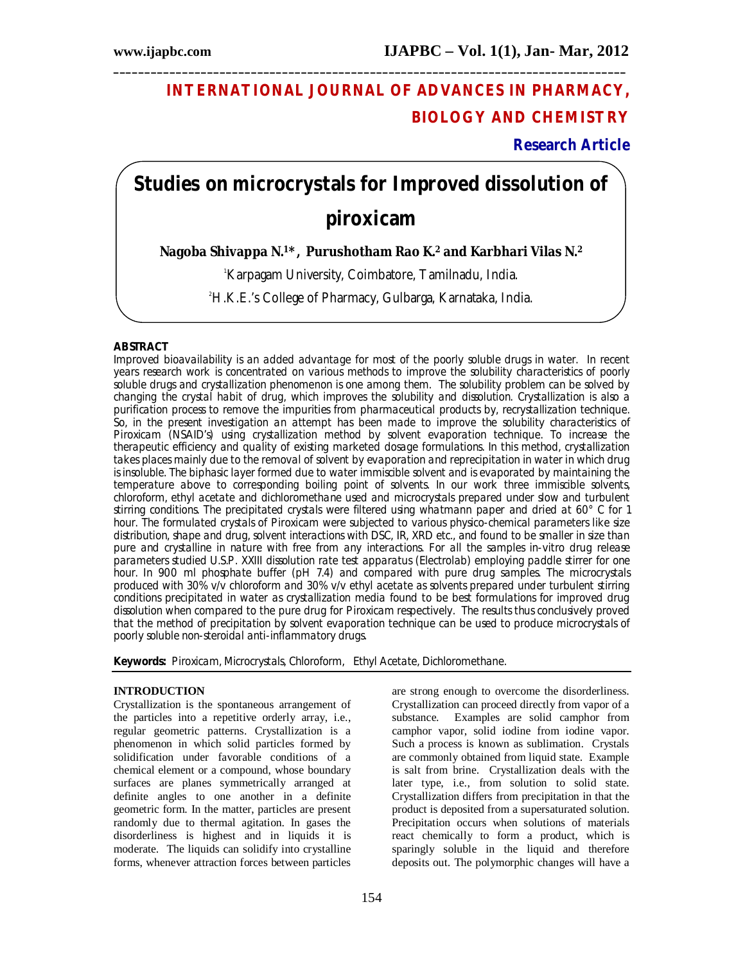# **INTERNATIONAL JOURNAL OF ADVANCES IN PHARMACY, BIOLOGY AND CHEMISTRY**

**Research Article**

# **Studies on microcrystals for Improved dissolution of piroxicam**

**\_\_\_\_\_\_\_\_\_\_\_\_\_\_\_\_\_\_\_\_\_\_\_\_\_\_\_\_\_\_\_\_\_\_\_\_\_\_\_\_\_\_\_\_\_\_\_\_\_\_\_\_\_\_\_\_\_\_\_\_\_\_\_\_\_\_\_\_\_\_\_\_\_\_\_\_\_\_\_\_\_\_**

**Nagoba Shivappa N.1\* , Purushotham Rao K.<sup>2</sup> and Karbhari Vilas N.<sup>2</sup>**

<sup>1</sup>Karpagam University, Coimbatore, Tamilnadu, India.

<sup>2</sup>H.K.E.'s College of Pharmacy, Gulbarga, Karnataka, India.

# **ABSTRACT**

Improved bioavailability is an added advantage for most of the poorly soluble drugs in water. In recent years research work is concentrated on various methods to improve the solubility characteristics of poorly soluble drugs and crystallization phenomenon is one among them. The solubility problem can be solved by changing the crystal habit of drug, which improves the solubility and dissolution. Crystallization is also a purification process to remove the impurities from pharmaceutical products by, recrystallization technique. So, in the present investigation an attempt has been made to improve the solubility characteristics of Piroxicam (NSAID's) using crystallization method by solvent evaporation technique. To increase the therapeutic efficiency and quality of existing marketed dosage formulations. In this method, crystallization takes places mainly due to the removal of solvent by evaporation and reprecipitation in water in which drug is insoluble. The biphasic layer formed due to water immiscible solvent and is evaporated by maintaining the temperature above to corresponding boiling point of solvents. In our work three immiscible solvents, chloroform, ethyl acetate and dichloromethane used and microcrystals prepared under slow and turbulent stirring conditions. The precipitated crystals were filtered using whatmann paper and dried at 60° C for 1 hour. The formulated crystals of Piroxicam were subjected to various physico-chemical parameters like size distribution, shape and drug, solvent interactions with DSC, IR, XRD etc., and found to be smaller in size than pure and crystalline in nature with free from any interactions. For all the samples *in-vitro* drug release parameters studied U.S.P. XXIII dissolution rate test apparatus (Electrolab) employing paddle stirrer for one hour. In 900 ml phosphate buffer (pH 7.4) and compared with pure drug samples. The microcrystals produced with 30% v/v chloroform and 30% v/v ethyl acetate as solvents prepared under turbulent stirring conditions precipitated in water as crystallization media found to be best formulations for improved drug dissolution when compared to the pure drug for Piroxicam respectively. The results thus conclusively proved that the method of precipitation by solvent evaporation technique can be used to produce microcrystals of poorly soluble non-steroidal anti-inflammatory drugs.

**Keywords:** Piroxicam, Microcrystals, Chloroform, Ethyl Acetate, Dichloromethane.

# **INTRODUCTION**

Crystallization is the spontaneous arrangement of the particles into a repetitive orderly array, i.e., regular geometric patterns. Crystallization is a phenomenon in which solid particles formed by solidification under favorable conditions of a chemical element or a compound, whose boundary surfaces are planes symmetrically arranged at definite angles to one another in a definite geometric form. In the matter, particles are present randomly due to thermal agitation. In gases the disorderliness is highest and in liquids it is moderate. The liquids can solidify into crystalline forms, whenever attraction forces between particles

are strong enough to overcome the disorderliness. Crystallization can proceed directly from vapor of a substance. Examples are solid camphor from camphor vapor, solid iodine from iodine vapor. Such a process is known as sublimation. Crystals are commonly obtained from liquid state. Example is salt from brine. Crystallization deals with the later type, i.e., from solution to solid state. Crystallization differs from precipitation in that the product is deposited from a supersaturated solution. Precipitation occurs when solutions of materials react chemically to form a product, which is sparingly soluble in the liquid and therefore deposits out. The polymorphic changes will have a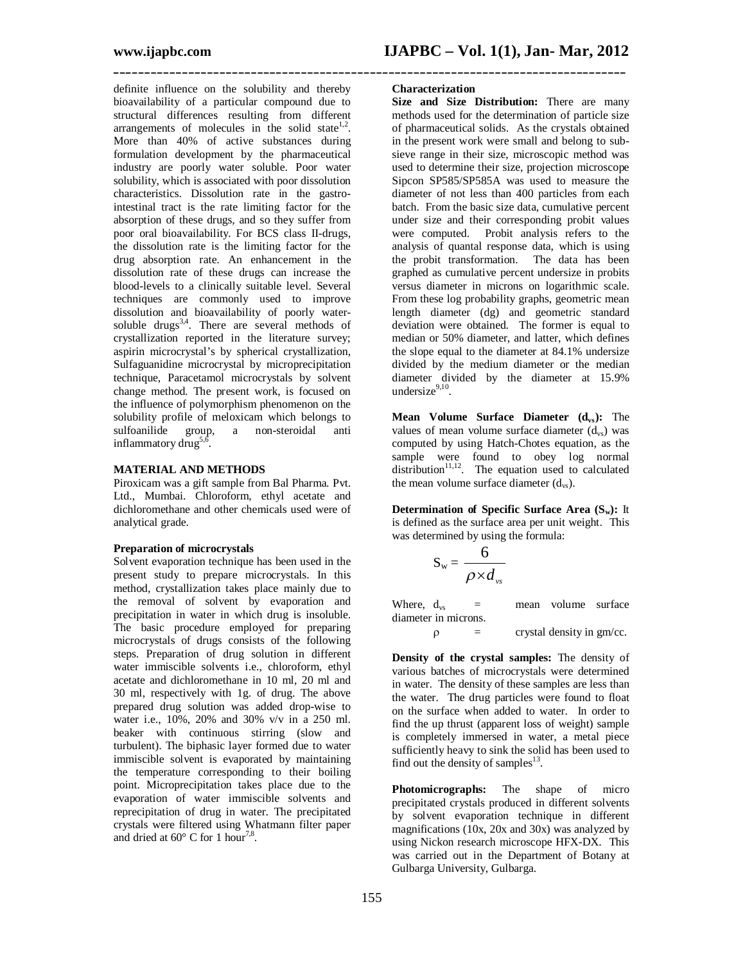definite influence on the solubility and thereby bioavailability of a particular compound due to structural differences resulting from different arrangements of molecules in the solid state<sup>1,2</sup>. More than 40% of active substances during formulation development by the pharmaceutical industry are poorly water soluble. Poor water solubility, which is associated with poor dissolution characteristics. Dissolution rate in the gastrointestinal tract is the rate limiting factor for the absorption of these drugs, and so they suffer from poor oral bioavailability. For BCS class II-drugs, the dissolution rate is the limiting factor for the drug absorption rate. An enhancement in the dissolution rate of these drugs can increase the blood-levels to a clinically suitable level. Several techniques are commonly used to improve dissolution and bioavailability of poorly watersoluble drugs<sup>3,4</sup>. There are several methods of crystallization reported in the literature survey; aspirin microcrystal's by spherical crystallization, Sulfaguanidine microcrystal by microprecipitation technique, Paracetamol microcrystals by solvent change method. The present work, is focused on the influence of polymorphism phenomenon on the solubility profile of meloxicam which belongs to sulfoanilide group, a non-steroidal anti inflammatory drug<sup>5,6</sup>.

#### **MATERIAL AND METHODS**

Piroxicam was a gift sample from Bal Pharma. Pvt. Ltd., Mumbai. Chloroform, ethyl acetate and dichloromethane and other chemicals used were of analytical grade.

#### **Preparation of microcrystals**

Solvent evaporation technique has been used in the present study to prepare microcrystals. In this method, crystallization takes place mainly due to the removal of solvent by evaporation and precipitation in water in which drug is insoluble. The basic procedure employed for preparing microcrystals of drugs consists of the following steps. Preparation of drug solution in different water immiscible solvents i.e., chloroform, ethyl acetate and dichloromethane in 10 ml, 20 ml and 30 ml, respectively with 1g. of drug. The above prepared drug solution was added drop-wise to water i.e., 10%, 20% and 30% v/v in a 250 ml. beaker with continuous stirring (slow and turbulent). The biphasic layer formed due to water immiscible solvent is evaporated by maintaining the temperature corresponding to their boiling point. Microprecipitation takes place due to the evaporation of water immiscible solvents and reprecipitation of drug in water. The precipitated crystals were filtered using Whatmann filter paper and dried at  $60^{\circ}$  C for 1 hour<sup>7,8</sup>.

#### **Characterization**

**\_\_\_\_\_\_\_\_\_\_\_\_\_\_\_\_\_\_\_\_\_\_\_\_\_\_\_\_\_\_\_\_\_\_\_\_\_\_\_\_\_\_\_\_\_\_\_\_\_\_\_\_\_\_\_\_\_\_\_\_\_\_\_\_\_\_\_\_\_\_\_\_\_\_\_\_\_\_\_\_\_\_**

**Size and Size Distribution:** There are many methods used for the determination of particle size of pharmaceutical solids. As the crystals obtained in the present work were small and belong to subsieve range in their size, microscopic method was used to determine their size, projection microscope Sipcon SP585/SP585A was used to measure the diameter of not less than 400 particles from each batch. From the basic size data, cumulative percent under size and their corresponding probit values were computed. Probit analysis refers to the analysis of quantal response data, which is using the probit transformation. The data has been graphed as cumulative percent undersize in probits versus diameter in microns on logarithmic scale. From these log probability graphs, geometric mean length diameter (dg) and geometric standard deviation were obtained. The former is equal to median or 50% diameter, and latter, which defines the slope equal to the diameter at 84.1% undersize divided by the medium diameter or the median diameter divided by the diameter at 15.9% undersize<sup>9,10</sup>.

**Mean Volume Surface Diameter (dvs):** The values of mean volume surface diameter  $(d_{vs})$  was computed by using Hatch-Chotes equation, as the sample were found to obey log normal distribution<sup>11,12</sup>. The equation used to calculated the mean volume surface diameter  $(d_{vs})$ .

**Determination of Specific Surface Area (Sw):** It is defined as the surface area per unit weight. This was determined by using the formula:

$$
S_{w} = \frac{6}{\rho \times d_{vs}}
$$

Where,  $d_{vs}$  = mean volume surface diameter in microns.  $\rho$  = crystal density in gm/cc.

**Density of the crystal samples:** The density of various batches of microcrystals were determined in water. The density of these samples are less than the water. The drug particles were found to float on the surface when added to water. In order to find the up thrust (apparent loss of weight) sample is completely immersed in water, a metal piece sufficiently heavy to sink the solid has been used to find out the density of samples $^{13}$ .

**Photomicrographs:** The shape of micro precipitated crystals produced in different solvents by solvent evaporation technique in different magnifications ( $10x$ , 20x and  $30x$ ) was analyzed by using Nickon research microscope HFX-DX. This was carried out in the Department of Botany at Gulbarga University, Gulbarga.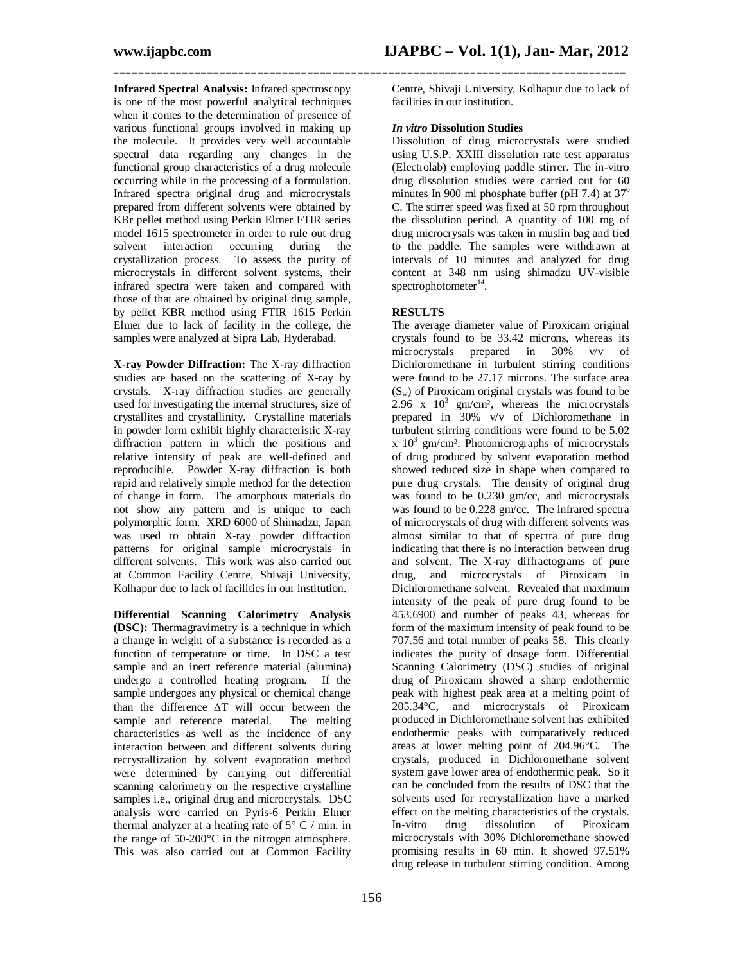**Infrared Spectral Analysis:** Infrared spectroscopy is one of the most powerful analytical techniques when it comes to the determination of presence of various functional groups involved in making up the molecule. It provides very well accountable spectral data regarding any changes in the functional group characteristics of a drug molecule occurring while in the processing of a formulation. Infrared spectra original drug and microcrystals prepared from different solvents were obtained by KBr pellet method using Perkin Elmer FTIR series model 1615 spectrometer in order to rule out drug solvent interaction occurring during the crystallization process. To assess the purity of microcrystals in different solvent systems, their infrared spectra were taken and compared with those of that are obtained by original drug sample, by pellet KBR method using FTIR 1615 Perkin Elmer due to lack of facility in the college, the samples were analyzed at Sipra Lab, Hyderabad.

**X-ray Powder Diffraction:** The X-ray diffraction studies are based on the scattering of X-ray by crystals. X-ray diffraction studies are generally used for investigating the internal structures, size of crystallites and crystallinity. Crystalline materials in powder form exhibit highly characteristic X-ray diffraction pattern in which the positions and relative intensity of peak are well-defined and reproducible. Powder X-ray diffraction is both rapid and relatively simple method for the detection of change in form. The amorphous materials do not show any pattern and is unique to each polymorphic form. XRD 6000 of Shimadzu, Japan was used to obtain X-ray powder diffraction patterns for original sample microcrystals in different solvents. This work was also carried out at Common Facility Centre, Shivaji University, Kolhapur due to lack of facilities in our institution.

**Differential Scanning Calorimetry Analysis (DSC):** Thermagravimetry is a technique in which a change in weight of a substance is recorded as a function of temperature or time. In DSC a test sample and an inert reference material (alumina) undergo a controlled heating program. If the sample undergoes any physical or chemical change than the difference  $\Delta T$  will occur between the sample and reference material. The melting characteristics as well as the incidence of any interaction between and different solvents during recrystallization by solvent evaporation method were determined by carrying out differential scanning calorimetry on the respective crystalline samples i.e., original drug and microcrystals. DSC analysis were carried on Pyris-6 Perkin Elmer thermal analyzer at a heating rate of  $5^{\circ}$  C / min. in the range of 50-200°C in the nitrogen atmosphere. This was also carried out at Common Facility

Centre, Shivaji University, Kolhapur due to lack of facilities in our institution.

### *In vitro* **Dissolution Studies**

Dissolution of drug microcrystals were studied using U.S.P. XXIII dissolution rate test apparatus (Electrolab) employing paddle stirrer. The in-vitro drug dissolution studies were carried out for 60 minutes In 900 ml phosphate buffer (pH 7.4) at  $37^0$ C. The stirrer speed was fixed at 50 rpm throughout the dissolution period. A quantity of 100 mg of drug microcrysals was taken in muslin bag and tied to the paddle. The samples were withdrawn at intervals of 10 minutes and analyzed for drug content at 348 nm using shimadzu UV-visible spectrophotometer<sup>14</sup>.

# **RESULTS**

**\_\_\_\_\_\_\_\_\_\_\_\_\_\_\_\_\_\_\_\_\_\_\_\_\_\_\_\_\_\_\_\_\_\_\_\_\_\_\_\_\_\_\_\_\_\_\_\_\_\_\_\_\_\_\_\_\_\_\_\_\_\_\_\_\_\_\_\_\_\_\_\_\_\_\_\_\_\_\_\_\_\_**

The average diameter value of Piroxicam original crystals found to be 33.42 microns, whereas its microcrystals prepared in 30% v/v of Dichloromethane in turbulent stirring conditions were found to be 27.17 microns. The surface area  $(S_w)$  of Piroxicam original crystals was found to be 2.96 x  $10^3$  gm/cm<sup>2</sup>, whereas the microcrystals prepared in 30% v/v of Dichloromethane in turbulent stirring conditions were found to be 5.02  $x$  10<sup>3</sup> gm/cm<sup>2</sup>. Photomicrographs of microcrystals of drug produced by solvent evaporation method showed reduced size in shape when compared to pure drug crystals. The density of original drug was found to be 0.230 gm/cc, and microcrystals was found to be 0.228 gm/cc. The infrared spectra of microcrystals of drug with different solvents was almost similar to that of spectra of pure drug indicating that there is no interaction between drug and solvent. The X-ray diffractograms of pure drug, and microcrystals of Piroxicam in Dichloromethane solvent. Revealed that maximum intensity of the peak of pure drug found to be 453.6900 and number of peaks 43, whereas for form of the maximum intensity of peak found to be 707.56 and total number of peaks 58. This clearly indicates the purity of dosage form. Differential Scanning Calorimetry (DSC) studies of original drug of Piroxicam showed a sharp endothermic peak with highest peak area at a melting point of 205.34°C, and microcrystals of Piroxicam produced in Dichloromethane solvent has exhibited endothermic peaks with comparatively reduced areas at lower melting point of 204.96°C. The crystals, produced in Dichloromethane solvent system gave lower area of endothermic peak. So it can be concluded from the results of DSC that the solvents used for recrystallization have a marked effect on the melting characteristics of the crystals.<br>In-vitro drug dissolution of Piroxicam drug dissolution microcrystals with 30% Dichloromethane showed promising results in 60 min. It showed 97.51% drug release in turbulent stirring condition. Among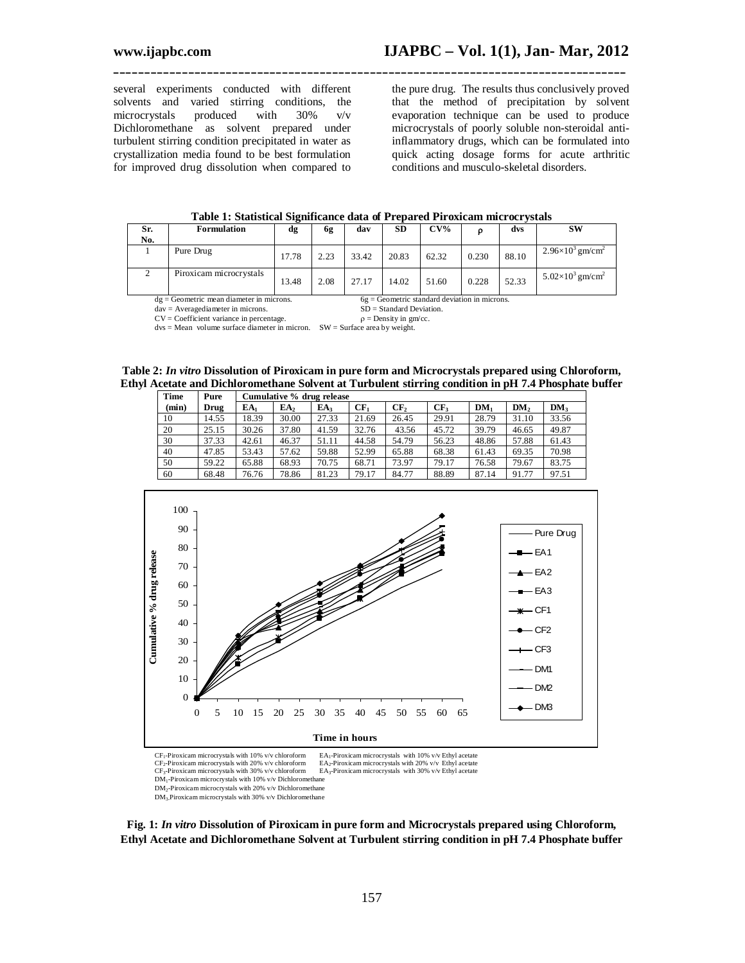several experiments conducted with different solvents and varied stirring conditions, the microcrystals produced with 30% v/v Dichloromethane as solvent prepared under turbulent stirring condition precipitated in water as crystallization media found to be best formulation for improved drug dissolution when compared to

the pure drug. The results thus conclusively proved that the method of precipitation by solvent evaporation technique can be used to produce microcrystals of poorly soluble non-steroidal antiinflammatory drugs, which can be formulated into quick acting dosage forms for acute arthritic conditions and musculo-skeletal disorders.

|  |  |  | Table 1: Statistical Significance data of Prepared Piroxicam microcrystals |
|--|--|--|----------------------------------------------------------------------------|
|  |  |  |                                                                            |

**\_\_\_\_\_\_\_\_\_\_\_\_\_\_\_\_\_\_\_\_\_\_\_\_\_\_\_\_\_\_\_\_\_\_\_\_\_\_\_\_\_\_\_\_\_\_\_\_\_\_\_\_\_\_\_\_\_\_\_\_\_\_\_\_\_\_\_\_\_\_\_\_\_\_\_\_\_\_\_\_\_\_**

| Sr.<br>No. | Formulation             | dg    | 6g   | dav   | <b>SD</b> | CV%   | Ω     | dvs   | <b>SW</b>                             |
|------------|-------------------------|-------|------|-------|-----------|-------|-------|-------|---------------------------------------|
|            | Pure Drug               | 17.78 | 2.23 | 33.42 | 20.83     | 62.32 | 0.230 | 88.10 | $2.96\times10^{3}$ gm/cm <sup>2</sup> |
|            | Piroxicam microcrystals | 13.48 | 2.08 | 27.17 | 14.02     | 51.60 | 0.228 | 52.33 | $5.02\times10^{3}$ gm/cm <sup>2</sup> |

 $dg = Geometric$  mean diameter in microns.<br>  $dg = Geometric$  standard deviation in microns.<br>  $SD = Standard$  Deviation.

dav = Averagediameter in microns.  $SD = Standard Deviate   
CV = Coefficient variance in percentage.$ <br> $\rho = Density in gm/cc.$ 

 $CV = Coefficient$  variance in percentage.

dvs = Mean volume surface diameter in micron. SW = Surface area by weight.

**Table 2:** *In vitro* **Dissolution of Piroxicam in pure form and Microcrystals prepared using Chloroform, Ethyl Acetate and Dichloromethane Solvent at Turbulent stirring condition in pH 7.4 Phosphate buffer**

| Time  | Pure  | Cumulative % drug release |                 |       |                 |                 |                 |                 |                 |                 |
|-------|-------|---------------------------|-----------------|-------|-----------------|-----------------|-----------------|-----------------|-----------------|-----------------|
| (min) | Drug  | $EA_1$                    | EA <sub>2</sub> | EA    | CF <sub>1</sub> | CF <sub>2</sub> | CF <sub>3</sub> | DM <sub>1</sub> | DM <sub>2</sub> | DM <sub>3</sub> |
| 10    | 14.55 | 18.39                     | 30.00           | 27.33 | 21.69           | 26.45           | 29.91           | 28.79           | 31.10           | 33.56           |
| 20    | 25.15 | 30.26                     | 37.80           | 41.59 | 32.76           | 43.56           | 45.72           | 39.79           | 46.65           | 49.87           |
| 30    | 37.33 | 42.61                     | 46.37           | 51.11 | 44.58           | 54.79           | 56.23           | 48.86           | 57.88           | 61.43           |
| 40    | 47.85 | 53.43                     | 57.62           | 59.88 | 52.99           | 65.88           | 68.38           | 61.43           | 69.35           | 70.98           |
| 50    | 59.22 | 65.88                     | 68.93           | 70.75 | 68.71           | 73.97           | 79.17           | 76.58           | 79.67           | 83.75           |
| 60    | 68.48 | 76.76                     | 78.86           | 81.23 | 79.17           | 84.77           | 88.89           | 87.14           | 91.77           | 97.51           |



DM3-Piroxicam microcrystals with 30% v/v Dichloromethane

**Fig. 1:** *In vitro* **Dissolution of Piroxicam in pure form and Microcrystals prepared using Chloroform, Ethyl Acetate and Dichloromethane Solvent at Turbulent stirring condition in pH 7.4 Phosphate buffer**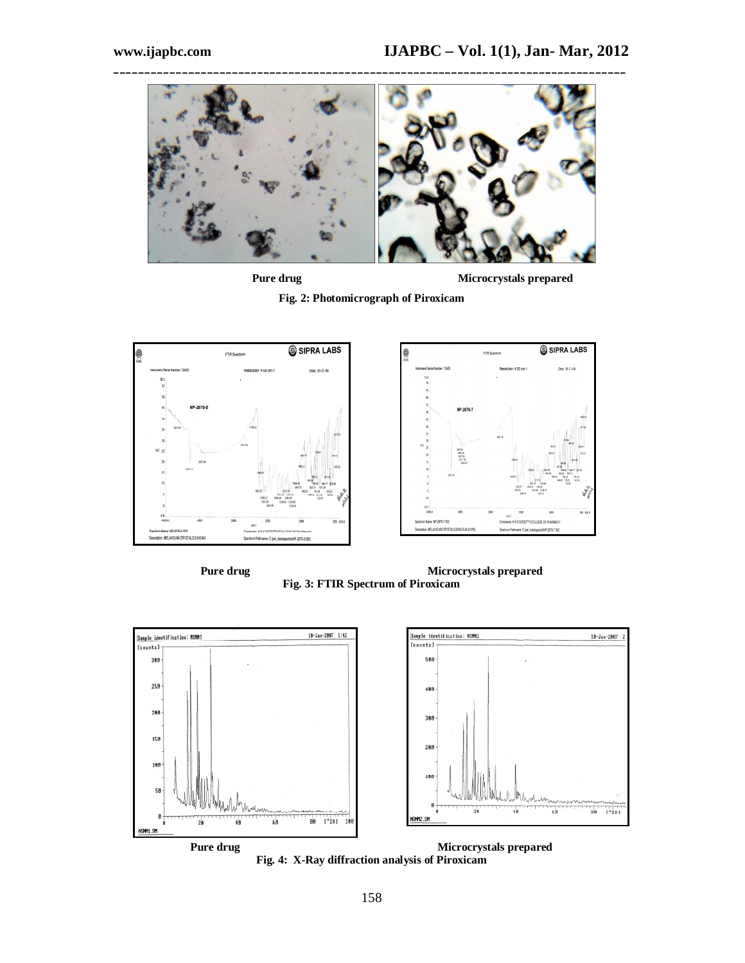

**Pure drug Microcrystals prepared**





**Pure drug and Pure drug Microcrystals prepared Fig. 3: FTIR Spectrum of Piroxicam**



**Fig. 4: X-Ray diffraction analysis of Piroxicam**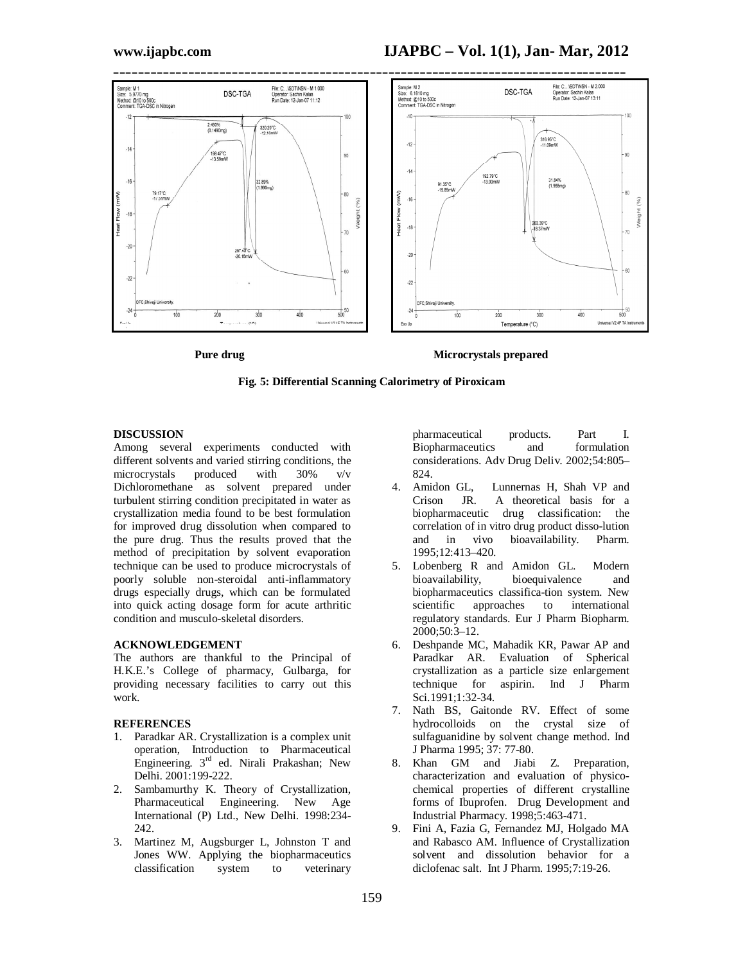



#### **DISCUSSION**

Among several experiments conducted with different solvents and varied stirring conditions, the microcrystals produced with  $30\%$  v/v microcrystals produced with 30% v/v Dichloromethane as solvent prepared under turbulent stirring condition precipitated in water as crystallization media found to be best formulation for improved drug dissolution when compared to the pure drug. Thus the results proved that the method of precipitation by solvent evaporation technique can be used to produce microcrystals of poorly soluble non-steroidal anti-inflammatory drugs especially drugs, which can be formulated into quick acting dosage form for acute arthritic condition and musculo-skeletal disorders.

#### **ACKNOWLEDGEMENT**

The authors are thankful to the Principal of H.K.E.'s College of pharmacy, Gulbarga, for providing necessary facilities to carry out this work.

#### **REFERENCES**

- 1. Paradkar AR. Crystallization is a complex unit operation, Introduction to Pharmaceutical Engineering. 3rd ed. Nirali Prakashan; New Delhi. 2001:199-222.
- 2. Sambamurthy K. Theory of Crystallization, Pharmaceutical Engineering. New Age International (P) Ltd., New Delhi. 1998:234- 242.
- 3. Martinez M, Augsburger L, Johnston T and Jones WW. Applying the biopharmaceutics classification system to veterinary

pharmaceutical products. Part I. Biopharmaceutics and considerations. Adv Drug Deliv. 2002;54:805– 824.

- 4. Amidon GL, Lunnernas H, Shah VP and Crison JR. A theoretical basis for a biopharmaceutic drug classification: the correlation of in vitro drug product disso-lution and in vivo bioavailability. Pharm. 1995;12:413–420.
- 5. Lobenberg R and Amidon GL. Modern bioavailability, bioequivalence and biopharmaceutics classifica-tion system. New scientific approaches to international regulatory standards. Eur J Pharm Biopharm. 2000;50:3–12.
- 6. Deshpande MC, Mahadik KR, Pawar AP and Paradkar AR. Evaluation of Spherical crystallization as a particle size enlargement technique for aspirin. Ind J Pharm Sci.1991:1:32-34.
- 7. Nath BS, Gaitonde RV. Effect of some hydrocolloids on the crystal size of sulfaguanidine by solvent change method. Ind J Pharma 1995; 37: 77-80.
- 8. Khan GM and Jiabi Z. Preparation, characterization and evaluation of physicochemical properties of different crystalline forms of Ibuprofen. Drug Development and Industrial Pharmacy. 1998;5:463-471.
- 9. Fini A, Fazia G, Fernandez MJ, Holgado MA and Rabasco AM. Influence of Crystallization solvent and dissolution behavior for a diclofenac salt. Int J Pharm. 1995;7:19-26.